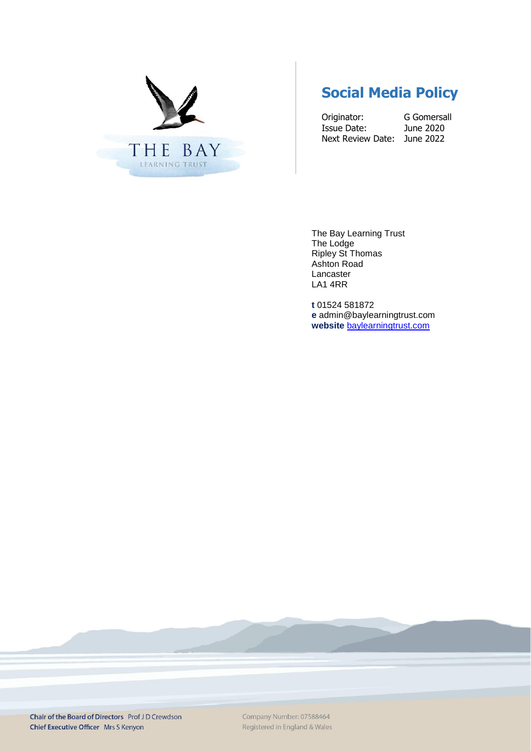

# **Social Media Policy**

Originator: G Gomersall<br>
Issue Date: June 2020 Issue Date: Next Review Date: June 2022

The Bay Learning Trust The Lodge Ripley St Thomas Ashton Road Lancaster LA1 4RR

**t** 01524 581872 **e** admin@baylearningtrust.com **website** [baylearningtrust.com](http://www.ripleystthomas.com/)

Chair of the Board of Directors Prof JD Crewdson Chief Executive Officer Mrs S Kenyon

Company Number: 07588464 Registered in England & Wales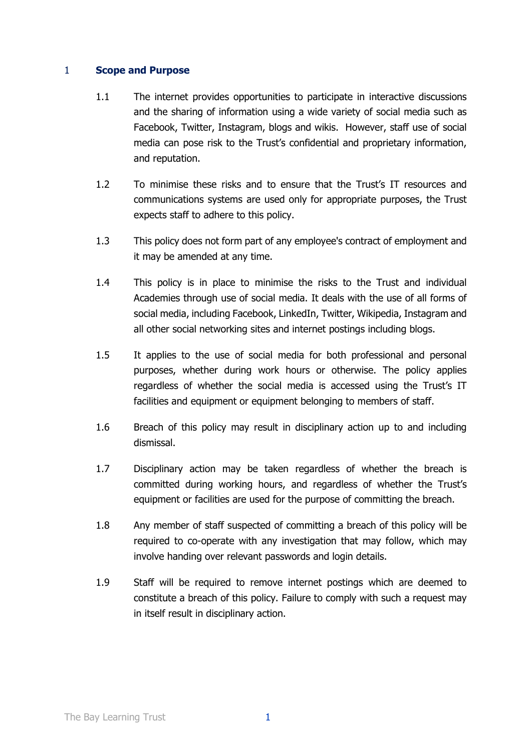#### 1 **Scope and Purpose**

- 1.1 The internet provides opportunities to participate in interactive discussions and the sharing of information using a wide variety of social media such as Facebook, Twitter, Instagram, blogs and wikis. However, staff use of social media can pose risk to the Trust's confidential and proprietary information, and reputation.
- 1.2 To minimise these risks and to ensure that the Trust's IT resources and communications systems are used only for appropriate purposes, the Trust expects staff to adhere to this policy.
- 1.3 This policy does not form part of any employee's contract of employment and it may be amended at any time.
- 1.4 This policy is in place to minimise the risks to the Trust and individual Academies through use of social media. It deals with the use of all forms of social media, including Facebook, LinkedIn, Twitter, Wikipedia, Instagram and all other social networking sites and internet postings including blogs.
- 1.5 It applies to the use of social media for both professional and personal purposes, whether during work hours or otherwise. The policy applies regardless of whether the social media is accessed using the Trust's IT facilities and equipment or equipment belonging to members of staff.
- 1.6 Breach of this policy may result in disciplinary action up to and including dismissal.
- 1.7 Disciplinary action may be taken regardless of whether the breach is committed during working hours, and regardless of whether the Trust's equipment or facilities are used for the purpose of committing the breach.
- 1.8 Any member of staff suspected of committing a breach of this policy will be required to co-operate with any investigation that may follow, which may involve handing over relevant passwords and login details.
- 1.9 Staff will be required to remove internet postings which are deemed to constitute a breach of this policy. Failure to comply with such a request may in itself result in disciplinary action.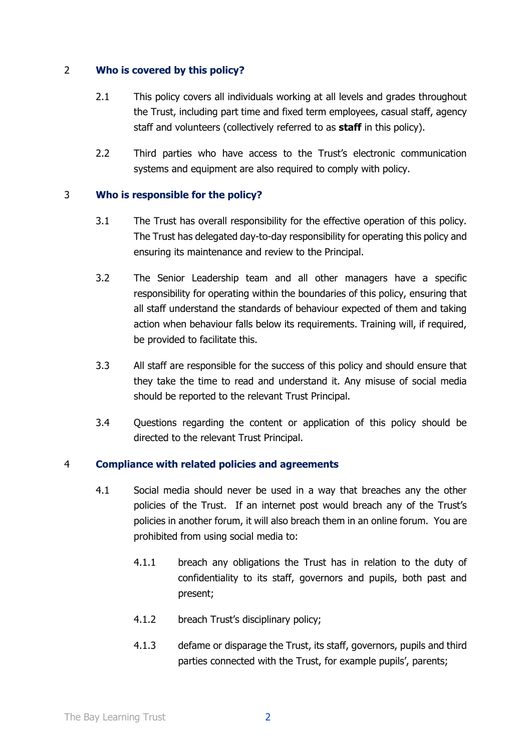## 2 **Who is covered by this policy?**

- 2.1 This policy covers all individuals working at all levels and grades throughout the Trust, including part time and fixed term employees, casual staff, agency staff and volunteers (collectively referred to as **staff** in this policy).
- 2.2 Third parties who have access to the Trust's electronic communication systems and equipment are also required to comply with policy.

### 3 **Who is responsible for the policy?**

- 3.1 The Trust has overall responsibility for the effective operation of this policy. The Trust has delegated day-to-day responsibility for operating this policy and ensuring its maintenance and review to the Principal.
- 3.2 The Senior Leadership team and all other managers have a specific responsibility for operating within the boundaries of this policy, ensuring that all staff understand the standards of behaviour expected of them and taking action when behaviour falls below its requirements. Training will, if required, be provided to facilitate this.
- 3.3 All staff are responsible for the success of this policy and should ensure that they take the time to read and understand it. Any misuse of social media should be reported to the relevant Trust Principal.
- 3.4 Questions regarding the content or application of this policy should be directed to the relevant Trust Principal.

### 4 **Compliance with related policies and agreements**

- 4.1 Social media should never be used in a way that breaches any the other policies of the Trust. If an internet post would breach any of the Trust's policies in another forum, it will also breach them in an online forum. You are prohibited from using social media to:
	- 4.1.1 breach any obligations the Trust has in relation to the duty of confidentiality to its staff, governors and pupils, both past and present;
	- 4.1.2 breach Trust's disciplinary policy;
	- 4.1.3 defame or disparage the Trust, its staff, governors, pupils and third parties connected with the Trust, for example pupils', parents;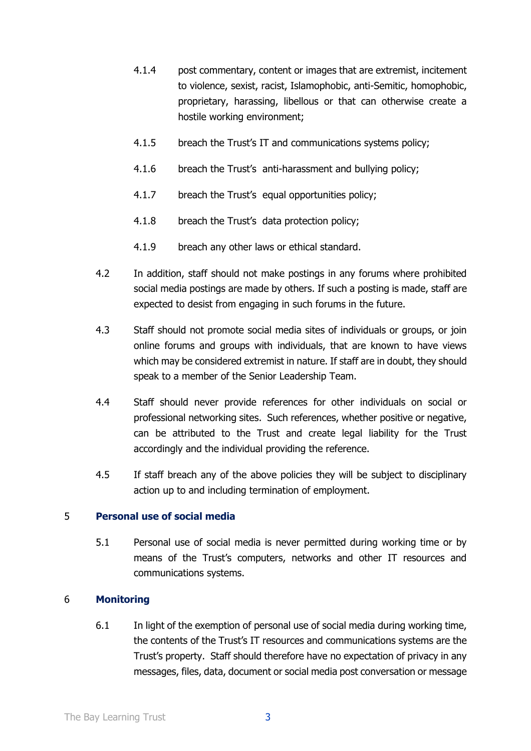- 4.1.4 post commentary, content or images that are extremist, incitement to violence, sexist, racist, Islamophobic, anti-Semitic, homophobic, proprietary, harassing, libellous or that can otherwise create a hostile working environment;
- 4.1.5 breach the Trust's IT and communications systems policy;
- 4.1.6 breach the Trust's anti-harassment and bullying policy;
- 4.1.7 breach the Trust's equal opportunities policy;
- 4.1.8 breach the Trust's data protection policy;
- 4.1.9 breach any other laws or ethical standard.
- 4.2 In addition, staff should not make postings in any forums where prohibited social media postings are made by others. If such a posting is made, staff are expected to desist from engaging in such forums in the future.
- 4.3 Staff should not promote social media sites of individuals or groups, or join online forums and groups with individuals, that are known to have views which may be considered extremist in nature. If staff are in doubt, they should speak to a member of the Senior Leadership Team.
- 4.4 Staff should never provide references for other individuals on social or professional networking sites. Such references, whether positive or negative, can be attributed to the Trust and create legal liability for the Trust accordingly and the individual providing the reference.
- 4.5 If staff breach any of the above policies they will be subject to disciplinary action up to and including termination of employment.

### 5 **Personal use of social media**

5.1 Personal use of social media is never permitted during working time or by means of the Trust's computers, networks and other IT resources and communications systems.

### 6 **Monitoring**

6.1 In light of the exemption of personal use of social media during working time, the contents of the Trust's IT resources and communications systems are the Trust's property. Staff should therefore have no expectation of privacy in any messages, files, data, document or social media post conversation or message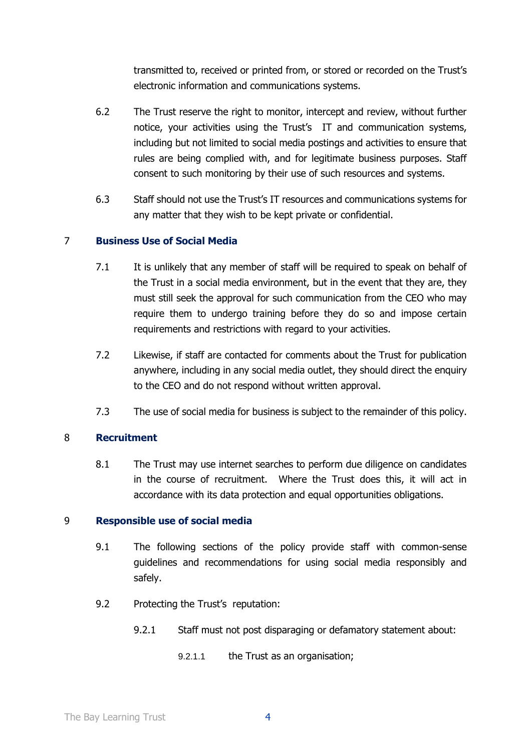transmitted to, received or printed from, or stored or recorded on the Trust's electronic information and communications systems.

- 6.2 The Trust reserve the right to monitor, intercept and review, without further notice, your activities using the Trust's IT and communication systems, including but not limited to social media postings and activities to ensure that rules are being complied with, and for legitimate business purposes. Staff consent to such monitoring by their use of such resources and systems.
- 6.3 Staff should not use the Trust's IT resources and communications systems for any matter that they wish to be kept private or confidential.

## 7 **Business Use of Social Media**

- 7.1 It is unlikely that any member of staff will be required to speak on behalf of the Trust in a social media environment, but in the event that they are, they must still seek the approval for such communication from the CEO who may require them to undergo training before they do so and impose certain requirements and restrictions with regard to your activities.
- 7.2 Likewise, if staff are contacted for comments about the Trust for publication anywhere, including in any social media outlet, they should direct the enquiry to the CEO and do not respond without written approval.
- 7.3 The use of social media for business is subject to the remainder of this policy.

### 8 **Recruitment**

8.1 The Trust may use internet searches to perform due diligence on candidates in the course of recruitment. Where the Trust does this, it will act in accordance with its data protection and equal opportunities obligations.

### 9 **Responsible use of social media**

- 9.1 The following sections of the policy provide staff with common-sense guidelines and recommendations for using social media responsibly and safely.
- 9.2 Protecting the Trust's reputation:
	- 9.2.1 Staff must not post disparaging or defamatory statement about:
		- 9.2.1.1 the Trust as an organisation;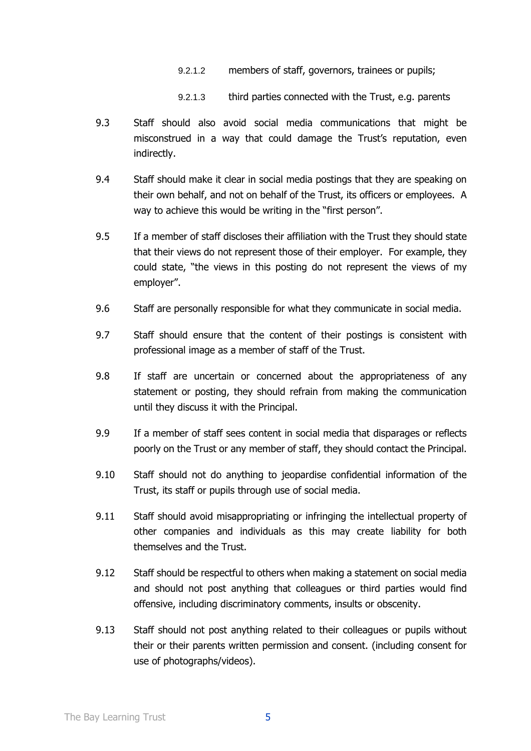- 9.2.1.2 members of staff, governors, trainees or pupils;
- 9.2.1.3 third parties connected with the Trust, e.g. parents
- 9.3 Staff should also avoid social media communications that might be misconstrued in a way that could damage the Trust's reputation, even indirectly.
- 9.4 Staff should make it clear in social media postings that they are speaking on their own behalf, and not on behalf of the Trust, its officers or employees. A way to achieve this would be writing in the "first person".
- 9.5 If a member of staff discloses their affiliation with the Trust they should state that their views do not represent those of their employer. For example, they could state, "the views in this posting do not represent the views of my employer".
- 9.6 Staff are personally responsible for what they communicate in social media.
- 9.7 Staff should ensure that the content of their postings is consistent with professional image as a member of staff of the Trust.
- 9.8 If staff are uncertain or concerned about the appropriateness of any statement or posting, they should refrain from making the communication until they discuss it with the Principal.
- 9.9 If a member of staff sees content in social media that disparages or reflects poorly on the Trust or any member of staff, they should contact the Principal.
- 9.10 Staff should not do anything to jeopardise confidential information of the Trust, its staff or pupils through use of social media.
- 9.11 Staff should avoid misappropriating or infringing the intellectual property of other companies and individuals as this may create liability for both themselves and the Trust.
- 9.12 Staff should be respectful to others when making a statement on social media and should not post anything that colleagues or third parties would find offensive, including discriminatory comments, insults or obscenity.
- 9.13 Staff should not post anything related to their colleagues or pupils without their or their parents written permission and consent. (including consent for use of photographs/videos).